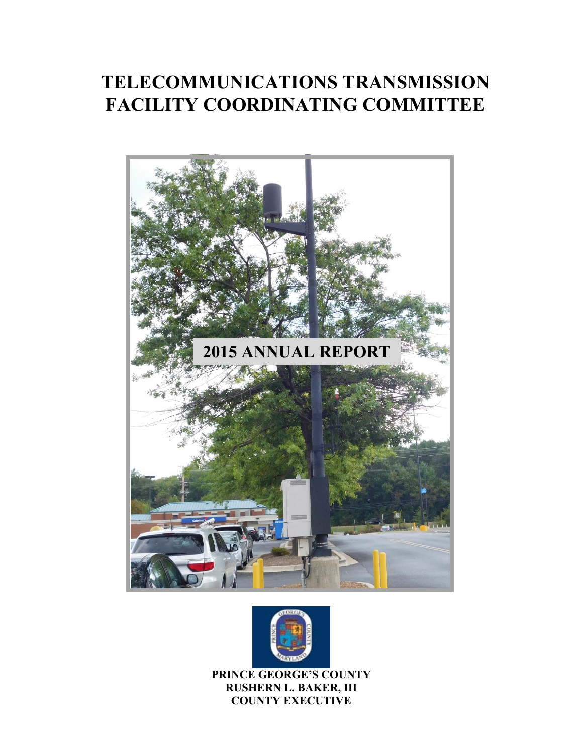# **TELECOMMUNICATIONS TRANSMISSION FACILITY COORDINATING COMMITTEE**





**PRINCE GEORGE'S COUNTY RUSHERN L. BAKER, III COUNTY EXECUTIVE**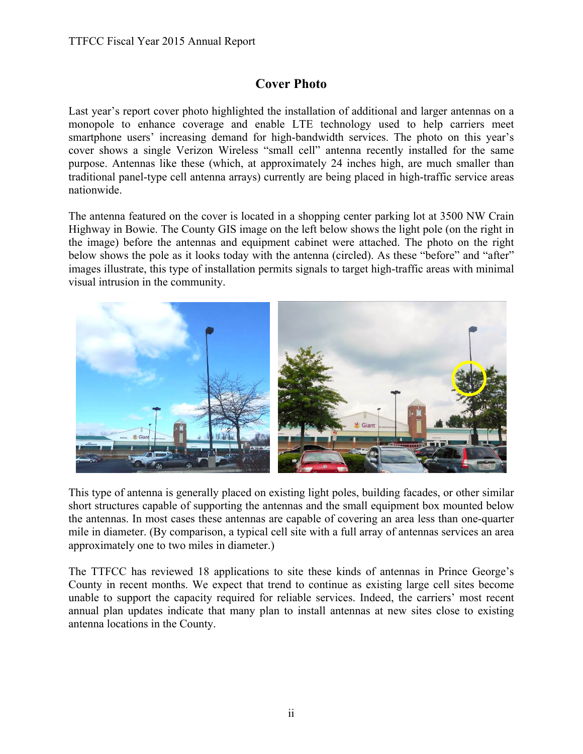#### **Cover Photo**

Last year's report cover photo highlighted the installation of additional and larger antennas on a monopole to enhance coverage and enable LTE technology used to help carriers meet smartphone users' increasing demand for high-bandwidth services. The photo on this year's cover shows a single Verizon Wireless "small cell" antenna recently installed for the same purpose. Antennas like these (which, at approximately 24 inches high, are much smaller than traditional panel-type cell antenna arrays) currently are being placed in high-traffic service areas nationwide.

The antenna featured on the cover is located in a shopping center parking lot at 3500 NW Crain Highway in Bowie. The County GIS image on the left below shows the light pole (on the right in the image) before the antennas and equipment cabinet were attached. The photo on the right below shows the pole as it looks today with the antenna (circled). As these "before" and "after" images illustrate, this type of installation permits signals to target high-traffic areas with minimal visual intrusion in the community.



This type of antenna is generally placed on existing light poles, building facades, or other similar short structures capable of supporting the antennas and the small equipment box mounted below the antennas. In most cases these antennas are capable of covering an area less than one-quarter mile in diameter. (By comparison, a typical cell site with a full array of antennas services an area approximately one to two miles in diameter.)

The TTFCC has reviewed 18 applications to site these kinds of antennas in Prince George's County in recent months. We expect that trend to continue as existing large cell sites become unable to support the capacity required for reliable services. Indeed, the carriers' most recent annual plan updates indicate that many plan to install antennas at new sites close to existing antenna locations in the County.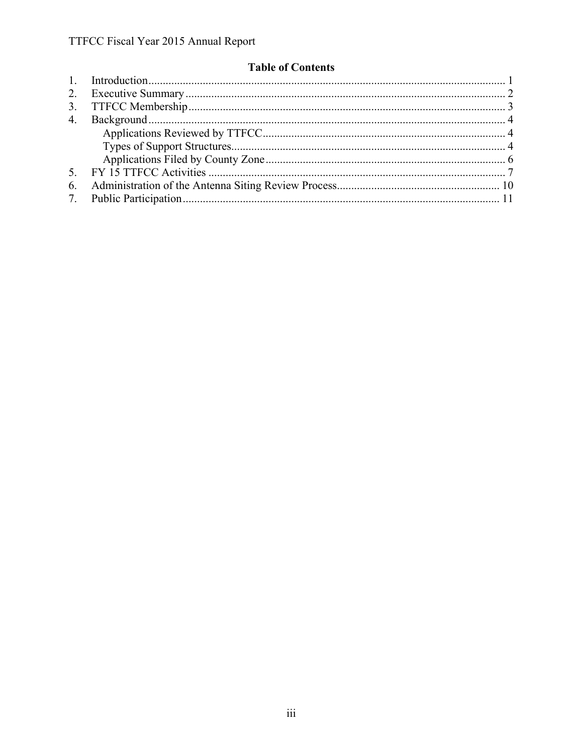#### **Table of Contents**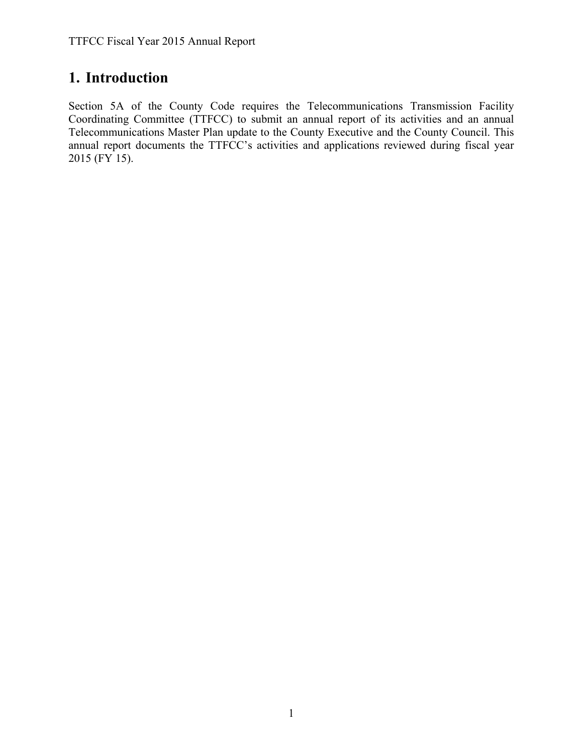### **1. Introduction**

Section 5A of the County Code requires the Telecommunications Transmission Facility Coordinating Committee (TTFCC) to submit an annual report of its activities and an annual Telecommunications Master Plan update to the County Executive and the County Council. This annual report documents the TTFCC's activities and applications reviewed during fiscal year  $2015$  (FY 15).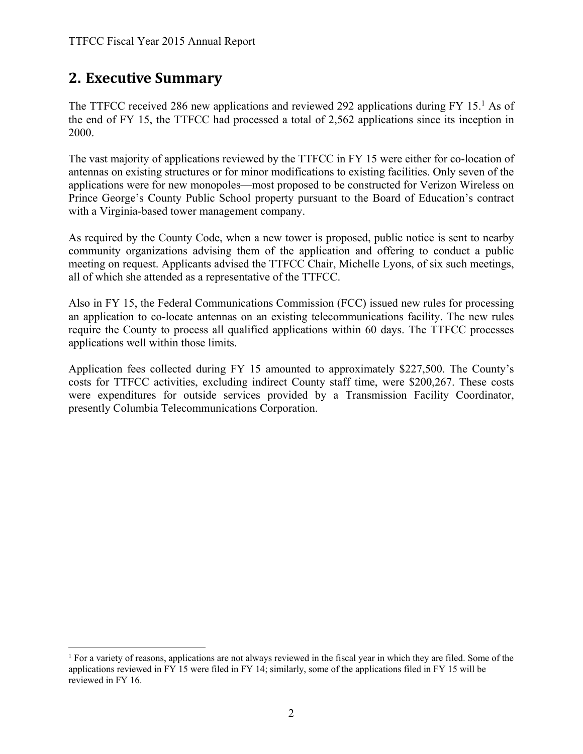### **2. Executive Summary**

 $\overline{a}$ 

The TTFCC received 286 new applications and reviewed 292 applications during FY 15.<sup>1</sup> As of the end of FY 15, the TTFCC had processed a total of 2,562 applications since its inception in 2000.

The vast majority of applications reviewed by the TTFCC in FY 15 were either for co-location of antennas on existing structures or for minor modifications to existing facilities. Only seven of the applications were for new monopoles—most proposed to be constructed for Verizon Wireless on Prince George's County Public School property pursuant to the Board of Education's contract with a Virginia-based tower management company.

As required by the County Code, when a new tower is proposed, public notice is sent to nearby community organizations advising them of the application and offering to conduct a public meeting on request. Applicants advised the TTFCC Chair, Michelle Lyons, of six such meetings, all of which she attended as a representative of the TTFCC.

Also in FY 15, the Federal Communications Commission (FCC) issued new rules for processing an application to co-locate antennas on an existing telecommunications facility. The new rules require the County to process all qualified applications within 60 days. The TTFCC processes applications well within those limits.

Application fees collected during FY 15 amounted to approximately \$227,500. The County's costs for TTFCC activities, excluding indirect County staff time, were \$200,267. These costs were expenditures for outside services provided by a Transmission Facility Coordinator, presently Columbia Telecommunications Corporation.

<sup>1</sup> For a variety of reasons, applications are not always reviewed in the fiscal year in which they are filed. Some of the applications reviewed in FY 15 were filed in FY 14; similarly, some of the applications filed in FY 15 will be reviewed in FY 16.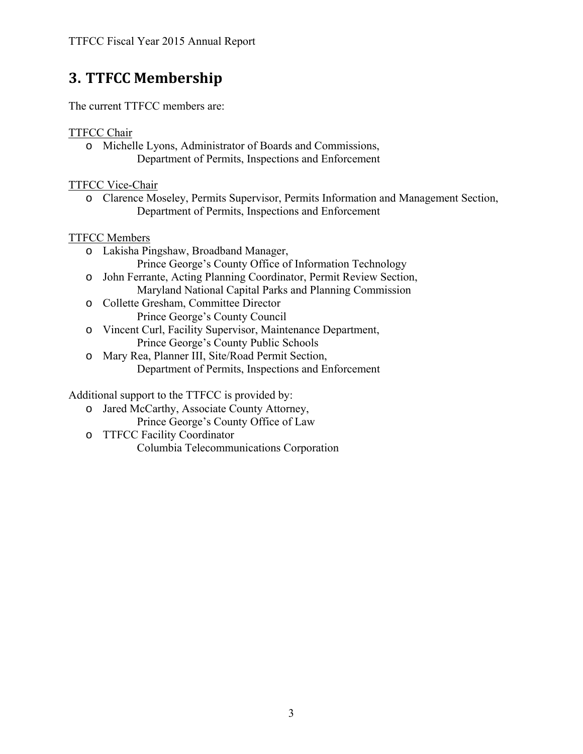# **3. TTFCC Membership**

The current TTFCC members are:

#### TTFCC Chair

o Michelle Lyons, Administrator of Boards and Commissions, Department of Permits, Inspections and Enforcement

TTFCC Vice-Chair

o Clarence Moseley, Permits Supervisor, Permits Information and Management Section, Department of Permits, Inspections and Enforcement

#### TTFCC Members

- o Lakisha Pingshaw, Broadband Manager, Prince George's County Office of Information Technology
- o John Ferrante, Acting Planning Coordinator, Permit Review Section, Maryland National Capital Parks and Planning Commission
- o Collette Gresham, Committee Director Prince George's County Council
- o Vincent Curl, Facility Supervisor, Maintenance Department, Prince George's County Public Schools
- o Mary Rea, Planner III, Site/Road Permit Section, Department of Permits, Inspections and Enforcement

Additional support to the TTFCC is provided by:

- o Jared McCarthy, Associate County Attorney,
	- Prince George's County Office of Law
- o TTFCC Facility Coordinator Columbia Telecommunications Corporation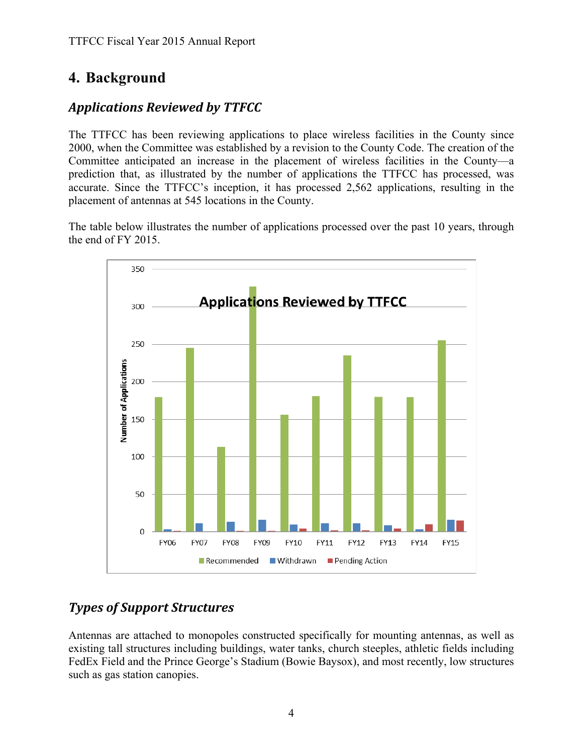# **4. Background**

#### *Applications Reviewed by TTFCC*

The TTFCC has been reviewing applications to place wireless facilities in the County since 2000, when the Committee was established by a revision to the County Code. The creation of the Committee anticipated an increase in the placement of wireless facilities in the County—a prediction that, as illustrated by the number of applications the TTFCC has processed, was accurate. Since the TTFCC's inception, it has processed 2,562 applications, resulting in the placement of antennas at 545 locations in the County.

The table below illustrates the number of applications processed over the past 10 years, through the end of FY 2015.



#### *Types of Support Structures*

Antennas are attached to monopoles constructed specifically for mounting antennas, as well as existing tall structures including buildings, water tanks, church steeples, athletic fields including FedEx Field and the Prince George's Stadium (Bowie Baysox), and most recently, low structures such as gas station canopies.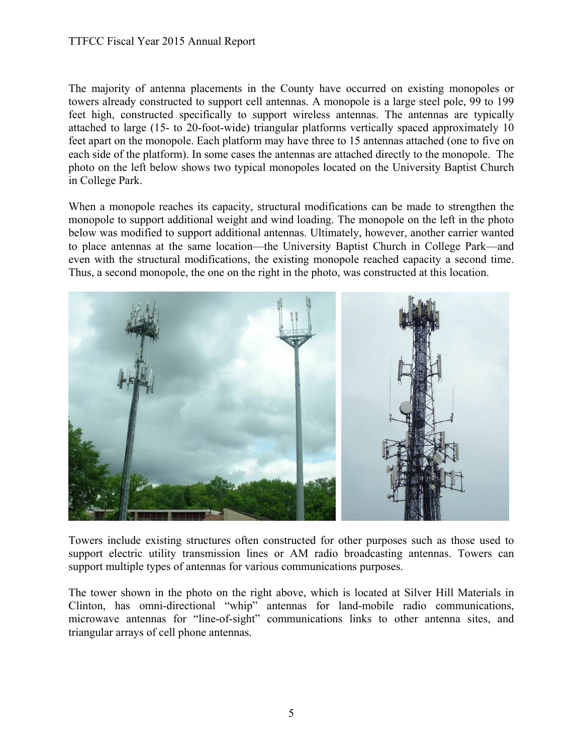#### TTFCC Fiscal Year 2015 Annual Report

The majority of antenna placements in the County have occurred on existing monopoles or towers already constructed to support cell antennas. A monopole is a large steel pole, 99 to 199 feet high, constructed specifically to support wireless antennas. The antennas are typically attached to large (15- to 20-foot-wide) triangular platforms vertically spaced approximately 10 feet apart on the monopole. Each platform may have three to 15 antennas attached (one to five on each side of the platform). In some cases the antennas are attached directly to the monopole. The photo on the left below shows two typical monopoles located on the University Baptist Church in College Park.

When a monopole reaches its capacity, structural modifications can be made to strengthen the monopole to support additional weight and wind loading. The monopole on the left in the photo below was modified to support additional antennas. Ultimately, however, another carrier wanted to place antennas at the same location—the University Baptist Church in College Park—and even with the structural modifications, the existing monopole reached capacity a second time. Thus, a second monopole, the one on the right in the photo, was constructed at this location.



Towers include existing structures often constructed for other purposes such as those used to support electric utility transmission lines or AM radio broadcasting antennas. Towers can support multiple types of antennas for various communications purposes.

The tower shown in the photo on the right above, which is located at Silver Hill Materials in Clinton, has omni-directional "whip" antennas for land-mobile radio communications, microwave antennas for "line-of-sight" communications links to other antenna sites, and triangular arrays of cell phone antennas.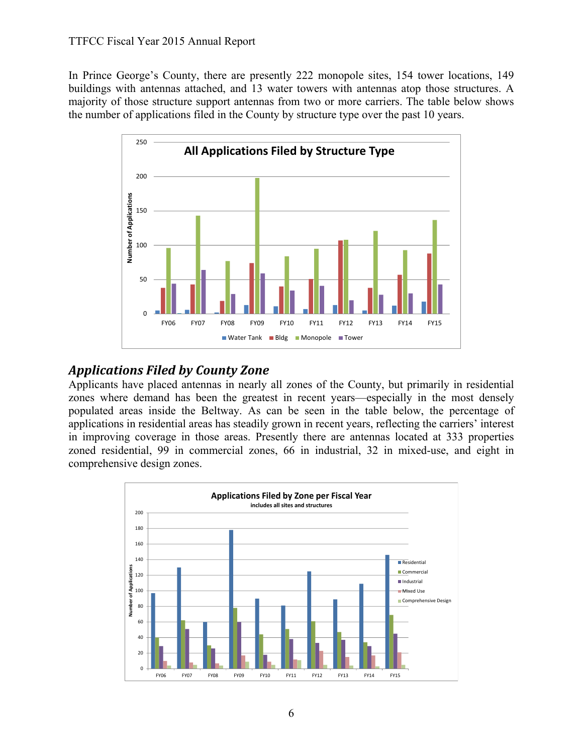In Prince George's County, there are presently 222 monopole sites, 154 tower locations, 149 buildings with antennas attached, and 13 water towers with antennas atop those structures. A majority of those structure support antennas from two or more carriers. The table below shows the number of applications filed in the County by structure type over the past 10 years.



#### *Applications Filed by County Zone*

Applicants have placed antennas in nearly all zones of the County, but primarily in residential zones where demand has been the greatest in recent years—especially in the most densely populated areas inside the Beltway. As can be seen in the table below, the percentage of applications in residential areas has steadily grown in recent years, reflecting the carriers' interest in improving coverage in those areas. Presently there are antennas located at 333 properties zoned residential, 99 in commercial zones, 66 in industrial, 32 in mixed-use, and eight in comprehensive design zones.

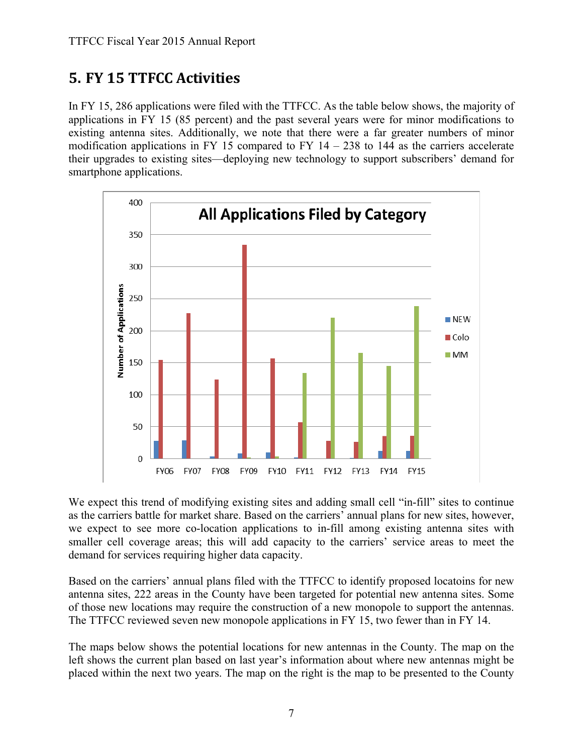# **5. FY 15 TTFCC Activities**

In FY 15, 286 applications were filed with the TTFCC. As the table below shows, the majority of applications in FY 15 (85 percent) and the past several years were for minor modifications to existing antenna sites. Additionally, we note that there were a far greater numbers of minor modification applications in FY 15 compared to FY  $14 - 238$  to 144 as the carriers accelerate their upgrades to existing sites—deploying new technology to support subscribers' demand for smartphone applications.



We expect this trend of modifying existing sites and adding small cell "in-fill" sites to continue as the carriers battle for market share. Based on the carriers' annual plans for new sites, however, we expect to see more co-location applications to in-fill among existing antenna sites with smaller cell coverage areas; this will add capacity to the carriers' service areas to meet the demand for services requiring higher data capacity.

Based on the carriers' annual plans filed with the TTFCC to identify proposed locatoins for new antenna sites, 222 areas in the County have been targeted for potential new antenna sites. Some of those new locations may require the construction of a new monopole to support the antennas. The TTFCC reviewed seven new monopole applications in FY 15, two fewer than in FY 14.

The maps below shows the potential locations for new antennas in the County. The map on the left shows the current plan based on last year's information about where new antennas might be placed within the next two years. The map on the right is the map to be presented to the County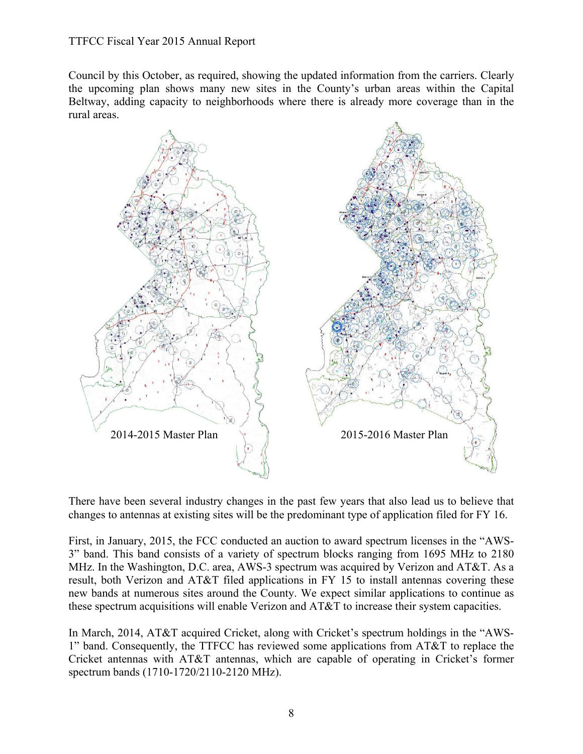Council by this October, as required, showing the updated information from the carriers. Clearly the upcoming plan shows many new sites in the County's urban areas within the Capital Beltway, adding capacity to neighborhoods where there is already more coverage than in the rural areas.



There have been several industry changes in the past few years that also lead us to believe that changes to antennas at existing sites will be the predominant type of application filed for FY 16.

First, in January, 2015, the FCC conducted an auction to award spectrum licenses in the "AWS-3" band. This band consists of a variety of spectrum blocks ranging from 1695 MHz to 2180 MHz. In the Washington, D.C. area, AWS-3 spectrum was acquired by Verizon and AT&T. As a result, both Verizon and AT&T filed applications in FY 15 to install antennas covering these new bands at numerous sites around the County. We expect similar applications to continue as these spectrum acquisitions will enable Verizon and AT&T to increase their system capacities.

In March, 2014, AT&T acquired Cricket, along with Cricket's spectrum holdings in the "AWS-1" band. Consequently, the TTFCC has reviewed some applications from AT&T to replace the Cricket antennas with AT&T antennas, which are capable of operating in Cricket's former spectrum bands (1710-1720/2110-2120 MHz).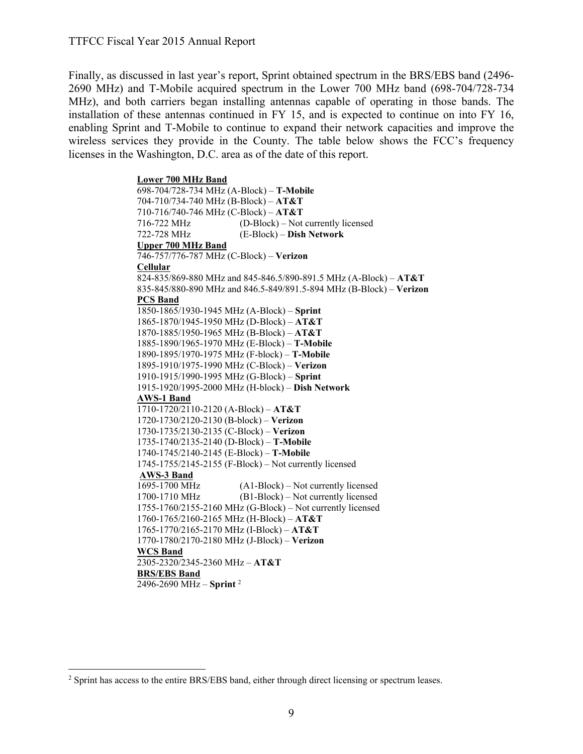Finally, as discussed in last year's report, Sprint obtained spectrum in the BRS/EBS band (2496- 2690 MHz) and T-Mobile acquired spectrum in the Lower 700 MHz band (698-704/728-734 MHz), and both carriers began installing antennas capable of operating in those bands. The installation of these antennas continued in FY 15, and is expected to continue on into FY 16, enabling Sprint and T-Mobile to continue to expand their network capacities and improve the wireless services they provide in the County. The table below shows the FCC's frequency licenses in the Washington, D.C. area as of the date of this report.

> **Lower 700 MHz Band**  698-704/728-734 MHz (A-Block) – **T-Mobile** 704-710/734-740 MHz (B-Block) – **AT&T** 710-716/740-746 MHz (C-Block) – **AT&T** 716-722 MHz (D-Block) – Not currently licensed 722-728 MHz (E-Block) – **Dish Network Upper 700 MHz Band**  746-757/776-787 MHz (C-Block) – **Verizon Cellular**  824-835/869-880 MHz and 845-846.5/890-891.5 MHz (A-Block) – **AT&T** 835-845/880-890 MHz and 846.5-849/891.5-894 MHz (B-Block) – **Verizon PCS Band**  1850-1865/1930-1945 MHz (A-Block) – **Sprint** 1865-1870/1945-1950 MHz (D-Block) – **AT&T**  1870-1885/1950-1965 MHz (B-Block) – **AT&T** 1885-1890/1965-1970 MHz (E-Block) – **T-Mobile** 1890-1895/1970-1975 MHz (F-block) – **T-Mobile** 1895-1910/1975-1990 MHz (C-Block) – **Verizon** 1910-1915/1990-1995 MHz (G-Block) – **Sprint** 1915-1920/1995-2000 MHz (H-block) – **Dish Network AWS-1 Band**  1710-1720/2110-2120 (A-Block) – **AT&T** 1720-1730/2120-2130 (B-block) – **Verizon** 1730-1735/2130-2135 (C-Block) – **Verizon** 1735-1740/2135-2140 (D-Block) – **T-Mobile** 1740-1745/2140-2145 (E-Block) – **T-Mobile** 1745-1755/2145-2155 (F-Block) – Not currently licensed **AWS-3 Band**  1695-1700 MHz (A1-Block) – Not currently licensed 1700-1710 MHz (B1-Block) – Not currently licensed 1755-1760/2155-2160 MHz (G-Block) – Not currently licensed 1760-1765/2160-2165 MHz (H-Block) – **AT&T** 1765-1770/2165-2170 MHz (I-Block) – **AT&T** 1770-1780/2170-2180 MHz (J-Block) – **Verizon WCS Band** 2305-2320/2345-2360 MHz – **AT&T BRS/EBS Band**  2496-2690 MHz – **Sprint** <sup>2</sup>

 $\overline{a}$ 

<sup>&</sup>lt;sup>2</sup> Sprint has access to the entire BRS/EBS band, either through direct licensing or spectrum leases.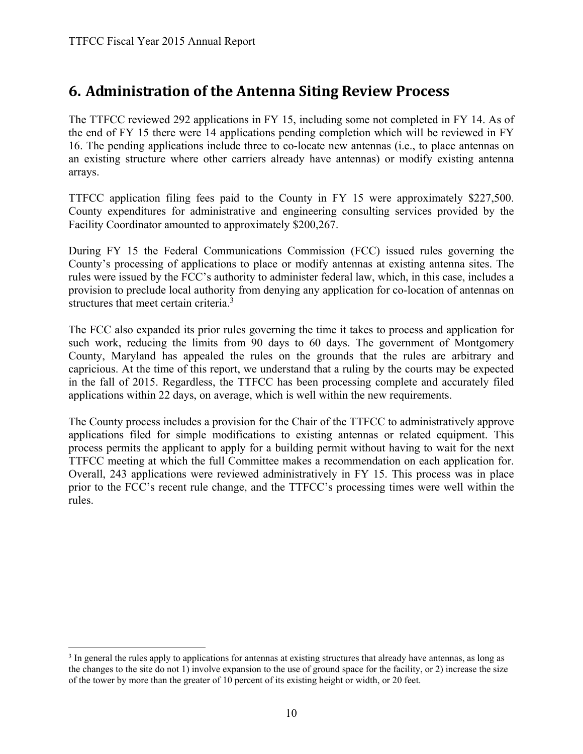$\overline{a}$ 

### **6. Administration of the Antenna Siting Review Process**

The TTFCC reviewed 292 applications in FY 15, including some not completed in FY 14. As of the end of FY 15 there were 14 applications pending completion which will be reviewed in FY 16. The pending applications include three to co-locate new antennas (i.e., to place antennas on an existing structure where other carriers already have antennas) or modify existing antenna arrays.

TTFCC application filing fees paid to the County in FY 15 were approximately \$227,500. County expenditures for administrative and engineering consulting services provided by the Facility Coordinator amounted to approximately \$200,267.

During FY 15 the Federal Communications Commission (FCC) issued rules governing the County's processing of applications to place or modify antennas at existing antenna sites. The rules were issued by the FCC's authority to administer federal law, which, in this case, includes a provision to preclude local authority from denying any application for co-location of antennas on structures that meet certain criteria.<sup>3</sup>

The FCC also expanded its prior rules governing the time it takes to process and application for such work, reducing the limits from 90 days to 60 days. The government of Montgomery County, Maryland has appealed the rules on the grounds that the rules are arbitrary and capricious. At the time of this report, we understand that a ruling by the courts may be expected in the fall of 2015. Regardless, the TTFCC has been processing complete and accurately filed applications within 22 days, on average, which is well within the new requirements.

The County process includes a provision for the Chair of the TTFCC to administratively approve applications filed for simple modifications to existing antennas or related equipment. This process permits the applicant to apply for a building permit without having to wait for the next TTFCC meeting at which the full Committee makes a recommendation on each application for. Overall, 243 applications were reviewed administratively in FY 15. This process was in place prior to the FCC's recent rule change, and the TTFCC's processing times were well within the rules.

<sup>&</sup>lt;sup>3</sup> In general the rules apply to applications for antennas at existing structures that already have antennas, as long as the changes to the site do not 1) involve expansion to the use of ground space for the facility, or 2) increase the size of the tower by more than the greater of 10 percent of its existing height or width, or 20 feet.